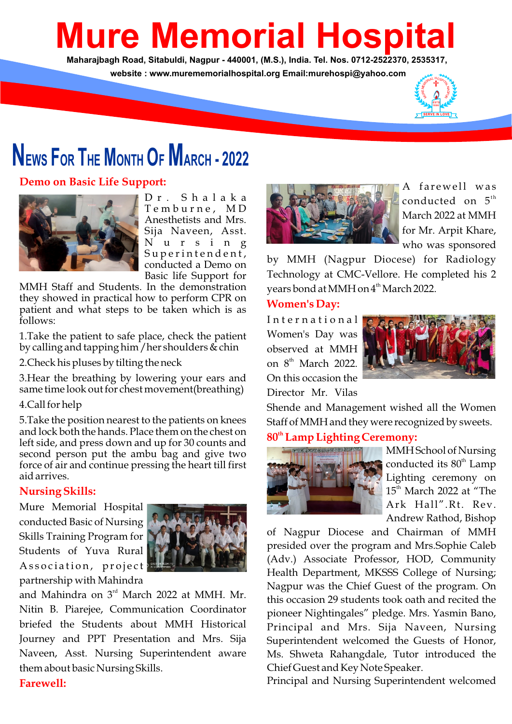# **Mure Memorial Hospital**

**Maharajbagh Road, Sitabuldi, Nagpur - 440001, (M.S.), India. Tel. Nos. 0712-2522370, 2535317, website : www.murememorialhospital.org Email:murehospi@yahoo.com**



# **NEWS FOR THE MONTH O<sup>F</sup> MARCH - <sup>2022</sup>**

## **Demo on Basic Life Support:**



D r . S h a l a k a T e m b u r n e , M D Anesthetists and Mrs. Sija Naveen, Asst. N u r s i n g Superintendent, conducted a Demo on Basic life Support for

MMH Staff and Students. In the demonstration they showed in practical how to perform CPR on patient and what steps to be taken which is as follows:

1.Take the patient to safe place, check the patient by calling and tapping him / her shoulders  $\&$  chin

2.Check his pluses by tilting the neck

3.Hear the breathing by lowering your ears and same time look out for chest movement(breathing)

#### 4.Call for help

5.Take the position nearest to the patients on knees and lock both the hands. Place them on the chest on left side, and press down and up for 30 counts and second person put the ambu bag and give two force of air and continue pressing the heart till first aid arrives.

## **Nursing Skills:**

Mure Memorial Hospital conducted Basic of Nursing Skills Training Program for Students of Yuva Rural Association, project partnership with Mahindra



and Mahindra on  $3<sup>rd</sup>$  March 2022 at MMH. Mr. Nitin B. Piarejee, Communication Coordinator briefed the Students about MMH Historical Journey and PPT Presentation and Mrs. Sija Naveen, Asst. Nursing Superintendent aware them about basic Nursing Skills.



A farewell was conducted on  $5<sup>th</sup>$ March 2022 at MMH for Mr. Arpit Khare, who was sponsored

by MMH (Nagpur Diocese) for Radiology Technology at CMC-Vellore. He completed his 2 years bond at MMH on 4<sup>th</sup> March 2022.

#### **Women's Day:**

International Women's Day was observed at MMH on 8<sup>th</sup> March 2022. On this occasion the Director Mr. Vilas



Shende and Management wished all the Women Staff of MMH and they were recognized by sweets.

# **th 80 Lamp Lighting Ceremony:**



MMH School of Nursing conducted its 80<sup>th</sup> Lamp Lighting ceremony on  $15<sup>th</sup>$  March 2022 at "The Ark Hall".Rt. Rev. Andrew Rathod, Bishop

of Nagpur Diocese and Chairman of MMH presided over the program and Mrs.Sophie Caleb (Adv.) Associate Professor, HOD, Community Health Department, MKSSS College of Nursing; Nagpur was the Chief Guest of the program. On this occasion 29 students took oath and recited the pioneer Nightingales" pledge. Mrs. Yasmin Bano, Principal and Mrs. Sija Naveen, Nursing Superintendent welcomed the Guests of Honor, Ms. Shweta Rahangdale, Tutor introduced the Chief Guest and Key Note Speaker.

Principal and Nursing Superintendent welcomed

# **Farewell:**